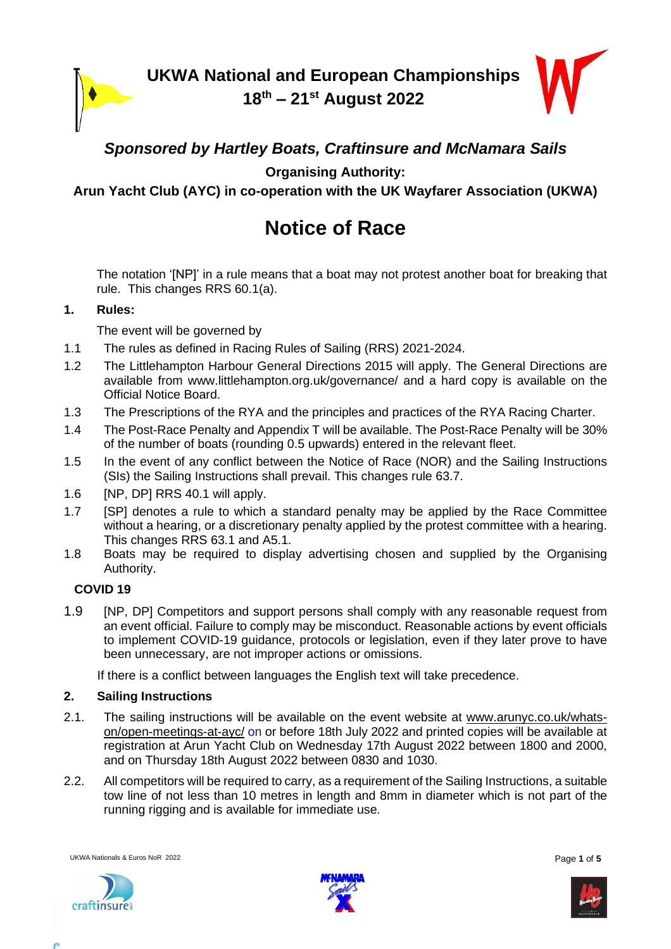

**UKWA National and European Championships 18 th – 21st August 2022**



### *Sponsored by Hartley Boats, Craftinsure and McNamara Sails*

**Organising Authority:**

**Arun Yacht Club (AYC) in co-operation with the UK Wayfarer Association (UKWA)**

# **Notice of Race**

The notation '[NP]' in a rule means that a boat may not protest another boat for breaking that rule. This changes RRS 60.1(a).

#### **1. Rules:**

The event will be governed by

- 1.1 The rules as defined in Racing Rules of Sailing (RRS) 2021-2024.
- 1.2 The Littlehampton Harbour General Directions 2015 will apply. The General Directions are available from www.littlehampton.org.uk/governance/ and a hard copy is available on the Official Notice Board.
- 1.3 The Prescriptions of the RYA and the principles and practices of the RYA Racing Charter.
- 1.4 The Post-Race Penalty and Appendix T will be available. The Post-Race Penalty will be 30% of the number of boats (rounding 0.5 upwards) entered in the relevant fleet.
- 1.5 In the event of any conflict between the Notice of Race (NOR) and the Sailing Instructions (SIs) the Sailing Instructions shall prevail. This changes rule 63.7.
- 1.6 [NP, DP] RRS 40.1 will apply.
- 1.7 [SP] denotes a rule to which a standard penalty may be applied by the Race Committee without a hearing, or a discretionary penalty applied by the protest committee with a hearing. This changes RRS 63.1 and A5.1.
- 1.8 Boats may be required to display advertising chosen and supplied by the Organising Authority.

#### **COVID 19**

1.9 **[NP, DP] Competitors and support persons shall comply with any reasonable request from** an event official. Failure to comply may be misconduct. Reasonable actions by event officials to implement COVID-19 guidance, protocols or legislation, even if they later prove to have been unnecessary, are not improper actions or omissions.

If there is a conflict between languages the English text will take precedence.

#### **2. Sailing Instructions**

- 2.1. The sailing instructions will be available on the event website at [www.arunyc.co.uk/whats](http://www.arunyc.co.uk/whats-on/open-meetings-at-ayc/)[on/open-meetings-at-ayc/](http://www.arunyc.co.uk/whats-on/open-meetings-at-ayc/) on or before 18th July 2022 and printed copies will be available at registration at Arun Yacht Club on Wednesday 17th August 2022 between 1800 and 2000, and on Thursday 18th August 2022 between 0830 and 1030.
- 2.2. All competitors will be required to carry, as a requirement of the Sailing Instructions, a suitable tow line of not less than 10 metres in length and 8mm in diameter which is not part of the running rigging and is available for immediate use.

UKWA Nationals & Euros NoR 2022 **Page 1** of 5





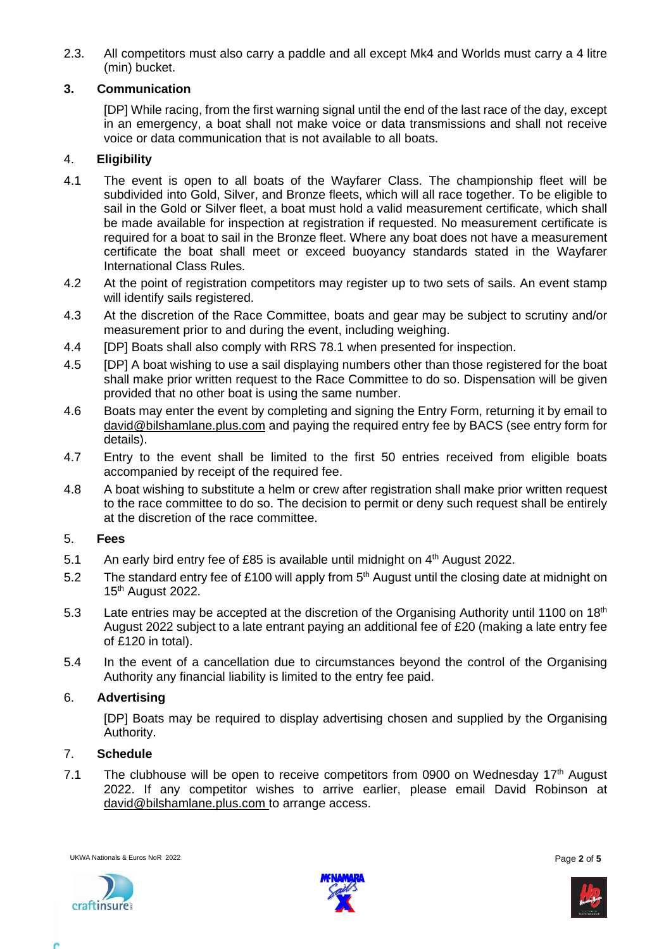2.3. All competitors must also carry a paddle and all except Mk4 and Worlds must carry a 4 litre (min) bucket.

#### **3. Communication**

[DP] While racing, from the first warning signal until the end of the last race of the day, except in an emergency, a boat shall not make voice or data transmissions and shall not receive voice or data communication that is not available to all boats.

#### 4. **Eligibility**

- 4.1 The event is open to all boats of the Wayfarer Class. The championship fleet will be subdivided into Gold, Silver, and Bronze fleets, which will all race together. To be eligible to sail in the Gold or Silver fleet, a boat must hold a valid measurement certificate, which shall be made available for inspection at registration if requested. No measurement certificate is required for a boat to sail in the Bronze fleet. Where any boat does not have a measurement certificate the boat shall meet or exceed buoyancy standards stated in the Wayfarer International Class Rules.
- 4.2 At the point of registration competitors may register up to two sets of sails. An event stamp will identify sails registered.
- 4.3 At the discretion of the Race Committee, boats and gear may be subject to scrutiny and/or measurement prior to and during the event, including weighing.
- 4.4 [DP] Boats shall also comply with RRS 78.1 when presented for inspection.
- 4.5 [DP] A boat wishing to use a sail displaying numbers other than those registered for the boat shall make prior written request to the Race Committee to do so. Dispensation will be given provided that no other boat is using the same number.
- 4.6 Boats may enter the event by completing and signing the Entry Form, returning it by email to [david@bilshamlane.plus.com](mailto:david@bilshamlane.plus.com) and paying the required entry fee by BACS (see entry form for details).
- 4.7 Entry to the event shall be limited to the first 50 entries received from eligible boats accompanied by receipt of the required fee.
- 4.8 A boat wishing to substitute a helm or crew after registration shall make prior written request to the race committee to do so. The decision to permit or deny such request shall be entirely at the discretion of the race committee.

#### 5. **Fees**

- 5.1 An early bird entry fee of £85 is available until midnight on  $4<sup>th</sup>$  August 2022.
- 5.2 The standard entry fee of £100 will apply from 5<sup>th</sup> August until the closing date at midnight on 15<sup>th</sup> August 2022.
- 5.3 Late entries may be accepted at the discretion of the Organising Authority until 1100 on 18<sup>th</sup> August 2022 subject to a late entrant paying an additional fee of £20 (making a late entry fee of £120 in total).
- 5.4 In the event of a cancellation due to circumstances beyond the control of the Organising Authority any financial liability is limited to the entry fee paid.

#### 6. **Advertising**

[DP] Boats may be required to display advertising chosen and supplied by the Organising Authority.

#### 7. **Schedule**

7.1 The clubhouse will be open to receive competitors from 0900 on Wednesday  $17<sup>th</sup>$  August 2022. If any competitor wishes to arrive earlier, please email David Robinson at [david@bilshamlane.plus.com](mailto:david@bilshamlane.plus.com) to arrange access.





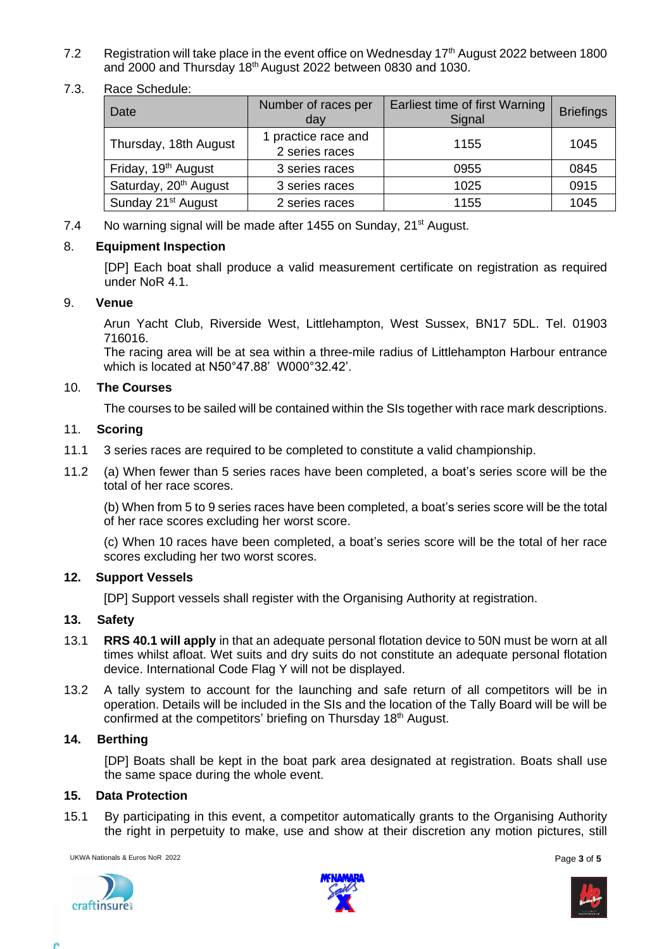- 7.2 Registration will take place in the event office on Wednesday 17<sup>th</sup> August 2022 between 1800 and 2000 and Thursday 18<sup>th</sup> August 2022 between 0830 and 1030.
- 7.3. Race Schedule:

| Date                              | Number of races per<br>day            | Earliest time of first Warning<br>Signal | <b>Briefings</b> |
|-----------------------------------|---------------------------------------|------------------------------------------|------------------|
| Thursday, 18th August             | 1 practice race and<br>2 series races | 1155                                     | 1045             |
| Friday, 19 <sup>th</sup> August   | 3 series races                        | 0955                                     | 0845             |
| Saturday, 20 <sup>th</sup> August | 3 series races                        | 1025                                     | 0915             |
| Sunday 21 <sup>st</sup> August    | 2 series races                        | 1155                                     | 1045             |

7.4 No warning signal will be made after 1455 on Sunday, 21<sup>st</sup> August.

#### 8. **Equipment Inspection**

[DP] Each boat shall produce a valid measurement certificate on registration as required under NoR 4.1.

#### 9. **Venue**

Arun Yacht Club, Riverside West, Littlehampton, West Sussex, BN17 5DL. Tel. 01903 716016.

The racing area will be at sea within a three-mile radius of Littlehampton Harbour entrance which is located at N50°47.88' W000°32.42'.

#### 10. **The Courses**

The courses to be sailed will be contained within the SIs together with race mark descriptions.

#### 11. **Scoring**

- 11.1 3 series races are required to be completed to constitute a valid championship.
- 11.2 (a) When fewer than 5 series races have been completed, a boat's series score will be the total of her race scores.

(b) When from 5 to 9 series races have been completed, a boat's series score will be the total of her race scores excluding her worst score.

(c) When 10 races have been completed, a boat's series score will be the total of her race scores excluding her two worst scores.

#### **12. Support Vessels**

[DP] Support vessels shall register with the Organising Authority at registration.

#### **13. Safety**

- 13.1 **RRS 40.1 will apply** in that an adequate personal flotation device to 50N must be worn at all times whilst afloat. Wet suits and dry suits do not constitute an adequate personal flotation device. International Code Flag Y will not be displayed.
- 13.2 A tally system to account for the launching and safe return of all competitors will be in operation. Details will be included in the SIs and the location of the Tally Board will be will be confirmed at the competitors' briefing on Thursday 18<sup>th</sup> August.

#### **14. Berthing**

[DP] Boats shall be kept in the boat park area designated at registration. Boats shall use the same space during the whole event.

#### **15. Data Protection**

15.1 By participating in this event, a competitor automatically grants to the Organising Authority the right in perpetuity to make, use and show at their discretion any motion pictures, still

UKWA Nationals & Euros NoR 2022 **Page 3 of 5 Page 3 of 5** 





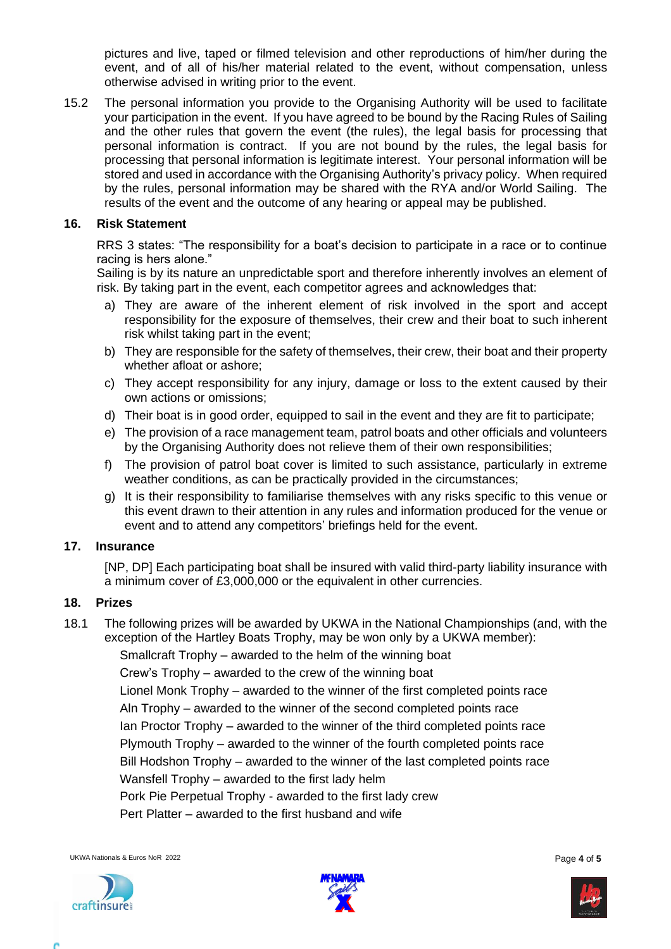pictures and live, taped or filmed television and other reproductions of him/her during the event, and of all of his/her material related to the event, without compensation, unless otherwise advised in writing prior to the event.

15.2 The personal information you provide to the Organising Authority will be used to facilitate your participation in the event. If you have agreed to be bound by the Racing Rules of Sailing and the other rules that govern the event (the rules), the legal basis for processing that personal information is contract. If you are not bound by the rules, the legal basis for processing that personal information is legitimate interest. Your personal information will be stored and used in accordance with the Organising Authority's privacy policy. When required by the rules, personal information may be shared with the RYA and/or World Sailing. The results of the event and the outcome of any hearing or appeal may be published.

#### **16. Risk Statement**

RRS 3 states: "The responsibility for a boat's decision to participate in a race or to continue racing is hers alone."

Sailing is by its nature an unpredictable sport and therefore inherently involves an element of risk. By taking part in the event, each competitor agrees and acknowledges that:

- a) They are aware of the inherent element of risk involved in the sport and accept responsibility for the exposure of themselves, their crew and their boat to such inherent risk whilst taking part in the event;
- b) They are responsible for the safety of themselves, their crew, their boat and their property whether afloat or ashore;
- c) They accept responsibility for any injury, damage or loss to the extent caused by their own actions or omissions;
- d) Their boat is in good order, equipped to sail in the event and they are fit to participate;
- e) The provision of a race management team, patrol boats and other officials and volunteers by the Organising Authority does not relieve them of their own responsibilities;
- f) The provision of patrol boat cover is limited to such assistance, particularly in extreme weather conditions, as can be practically provided in the circumstances;
- g) It is their responsibility to familiarise themselves with any risks specific to this venue or this event drawn to their attention in any rules and information produced for the venue or event and to attend any competitors' briefings held for the event.

#### **17. Insurance**

[NP, DP] Each participating boat shall be insured with valid third-party liability insurance with a minimum cover of £3,000,000 or the equivalent in other currencies.

#### **18. Prizes**

18.1 The following prizes will be awarded by UKWA in the National Championships (and, with the exception of the Hartley Boats Trophy, may be won only by a UKWA member):

Smallcraft Trophy – awarded to the helm of the winning boat Crew's Trophy – awarded to the crew of the winning boat Lionel Monk Trophy – awarded to the winner of the first completed points race Aln Trophy – awarded to the winner of the second completed points race Ian Proctor Trophy – awarded to the winner of the third completed points race Plymouth Trophy – awarded to the winner of the fourth completed points race Bill Hodshon Trophy – awarded to the winner of the last completed points race Wansfell Trophy – awarded to the first lady helm Pork Pie Perpetual Trophy - awarded to the first lady crew Pert Platter – awarded to the first husband and wife